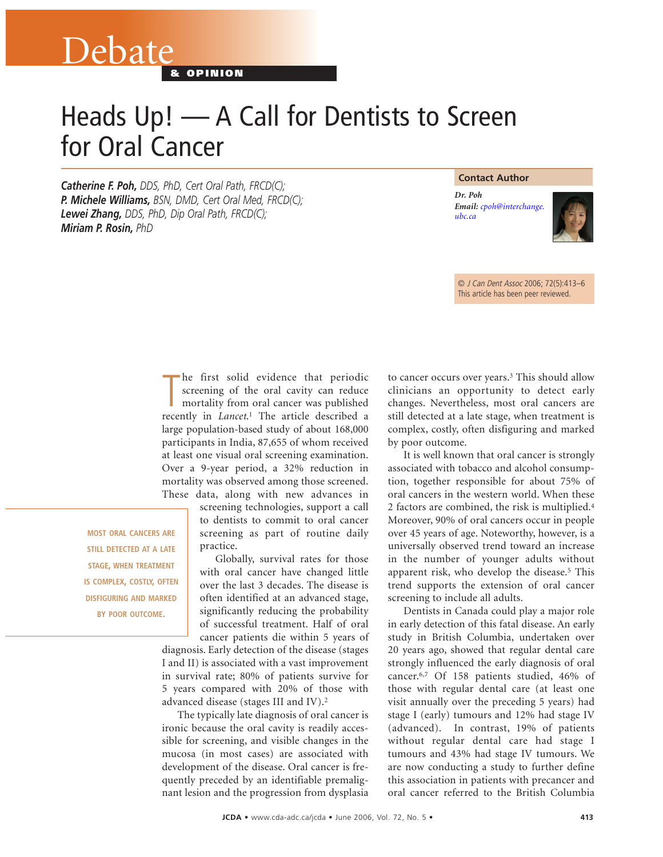# Heads Up! — A Call for Dentists to Screen for Oral Cancer

*Catherine F. Poh, DDS, PhD, Cert Oral Path, FRCD(C); P. Michele Williams, BSN, DMD, Cert Oral Med, FRCD(C); Lewei Zhang, DDS, PhD, Dip Oral Path, FRCD(C); Miriam P. Rosin, PhD* 

**& OPINION**

Debate

#### **Contact Author**

*Dr. Poh Email: [cpoh@interchange.](mailto:cpoh@interchange.ubc.ca) ubc.ca*



© J Can Dent Assoc 2006; 72(5):413–6 This article has been peer reviewed.

The first solid evidence that periodic screening of the oral cavity can reduce mortality from oral cancer was published recently in *Lancet*.<sup>1</sup> The article described a he first solid evidence that periodic screening of the oral cavity can reduce mortality from oral cancer was published large population-based study of about 168,000 participants in India, 87,655 of whom received at least one visual oral screening examination. Over a 9-year period, a 32% reduction in mortality was observed among those screened. These data, along with new advances in

**MOST ORAL CANCERS ARE STILL DETECTED AT A LATE STAGE, WHEN TREATMENT IS COMPLEX, COSTLY, OFTEN DISFIGURING AND MARKED BY POOR OUTCOME.**

screening technologies, support a call to dentists to commit to oral cancer screening as part of routine daily practice.

Globally, survival rates for those with oral cancer have changed little over the last 3 decades. The disease is often identified at an advanced stage, significantly reducing the probability of successful treatment. Half of oral cancer patients die within 5 years of

diagnosis. Early detection of the disease (stages I and II) is associated with a vast improvement in survival rate; 80% of patients survive for 5 years compared with 20% of those with advanced disease (stages III and IV).2

The typically late diagnosis of oral cancer is ironic because the oral cavity is readily accessible for screening, and visible changes in the mucosa (in most cases) are associated with development of the disease. Oral cancer is frequently preceded by an identifiable premalignant lesion and the progression from dysplasia

to cancer occurs over years.3 This should allow clinicians an opportunity to detect early changes. Nevertheless, most oral cancers are still detected at a late stage, when treatment is complex, costly, often disfiguring and marked by poor outcome.

It is well known that oral cancer is strongly associated with tobacco and alcohol consumption, together responsible for about 75% of oral cancers in the western world. When these 2 factors are combined, the risk is multiplied.4 Moreover, 90% of oral cancers occur in people over 45 years of age. Noteworthy, however, is a universally observed trend toward an increase in the number of younger adults without apparent risk, who develop the disease.5 This trend supports the extension of oral cancer screening to include all adults.

Dentists in Canada could play a major role in early detection of this fatal disease. An early study in British Columbia, undertaken over 20 years ago, showed that regular dental care strongly influenced the early diagnosis of oral cancer.6,7 Of 158 patients studied, 46% of those with regular dental care (at least one visit annually over the preceding 5 years) had stage I (early) tumours and 12% had stage IV (advanced). In contrast, 19% of patients without regular dental care had stage I tumours and 43% had stage IV tumours. We are now conducting a study to further define this association in patients with precancer and oral cancer referred to the British Columbia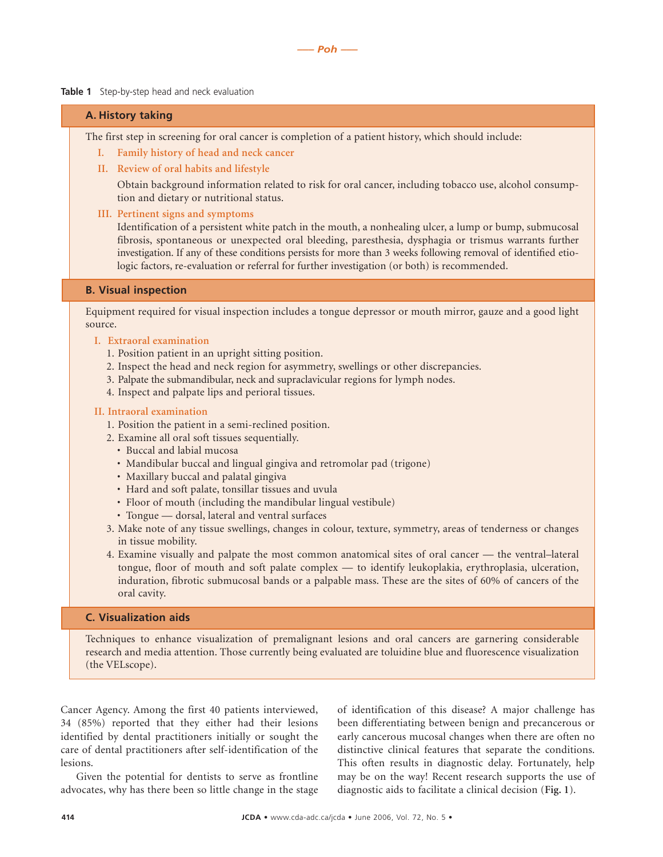**Table 1** Step-by-step head and neck evaluation

### **A. History taking**

The first step in screening for oral cancer is completion of a patient history, which should include:

- **I. Family history of head and neck cancer**
- **II. Review of oral habits and lifestyle**

Obtain background information related to risk for oral cancer, including tobacco use, alcohol consumption and dietary or nutritional status.

**III. Pertinent signs and symptoms**

Identification of a persistent white patch in the mouth, a nonhealing ulcer, a lump or bump, submucosal fibrosis, spontaneous or unexpected oral bleeding, paresthesia, dysphagia or trismus warrants further investigation. If any of these conditions persists for more than 3 weeks following removal of identified etiologic factors, re-evaluation or referral for further investigation (or both) is recommended.

## **B. Visual inspection**

Equipment required for visual inspection includes a tongue depressor or mouth mirror, gauze and a good light source.

- **I. Extraoral examination**
	- 1. Position patient in an upright sitting position.
	- 2. Inspect the head and neck region for asymmetry, swellings or other discrepancies.
	- 3. Palpate the submandibular, neck and supraclavicular regions for lymph nodes.
	- 4. Inspect and palpate lips and perioral tissues.

#### **II. Intraoral examination**

- 1. Position the patient in a semi-reclined position.
- 2. Examine all oral soft tissues sequentially.
	- Buccal and labial mucosa
	- Mandibular buccal and lingual gingiva and retromolar pad (trigone)
	- Maxillary buccal and palatal gingiva
	- Hard and soft palate, tonsillar tissues and uvula
	- Floor of mouth (including the mandibular lingual vestibule)
	- Tongue dorsal, lateral and ventral surfaces
- 3. Make note of any tissue swellings, changes in colour, texture, symmetry, areas of tenderness or changes in tissue mobility.
- 4. Examine visually and palpate the most common anatomical sites of oral cancer the ventral–lateral tongue, floor of mouth and soft palate complex — to identify leukoplakia, erythroplasia, ulceration, induration, fibrotic submucosal bands or a palpable mass. These are the sites of 60% of cancers of the oral cavity.

#### **C. Visualization aids**

Techniques to enhance visualization of premalignant lesions and oral cancers are garnering considerable research and media attention. Those currently being evaluated are toluidine blue and fluorescence visualization (the VELscope).

Cancer Agency. Among the first 40 patients interviewed, 34 (85%) reported that they either had their lesions identified by dental practitioners initially or sought the care of dental practitioners after self-identification of the lesions.

Given the potential for dentists to serve as frontline advocates, why has there been so little change in the stage

of identification of this disease? A major challenge has been differentiating between benign and precancerous or early cancerous mucosal changes when there are often no distinctive clinical features that separate the conditions. This often results in diagnostic delay. Fortunately, help may be on the way! Recent research supports the use of diagnostic aids to facilitate a clinical decision (**Fig. 1**).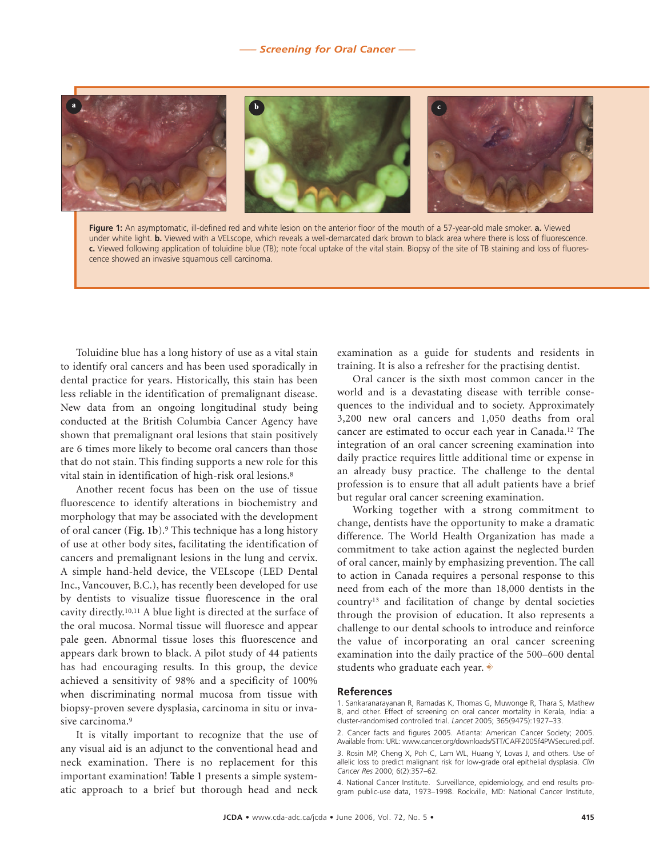

**Figure 1:** An asymptomatic, ill-defined red and white lesion on the anterior floor of the mouth of a 57-year-old male smoker. **a.** Viewed under white light. **b.** Viewed with a VELscope, which reveals a well-demarcated dark brown to black area where there is loss of fluorescence. **c.** Viewed following application of toluidine blue (TB); note focal uptake of the vital stain. Biopsy of the site of TB staining and loss of fluorescence showed an invasive squamous cell carcinoma.

Toluidine blue has a long history of use as a vital stain to identify oral cancers and has been used sporadically in dental practice for years. Historically, this stain has been less reliable in the identification of premalignant disease. New data from an ongoing longitudinal study being conducted at the British Columbia Cancer Agency have shown that premalignant oral lesions that stain positively are 6 times more likely to become oral cancers than those that do not stain. This finding supports a new role for this vital stain in identification of high-risk oral lesions.8

Another recent focus has been on the use of tissue fluorescence to identify alterations in biochemistry and morphology that may be associated with the development of oral cancer (**Fig. 1b**).9 This technique has a long history of use at other body sites, facilitating the identification of cancers and premalignant lesions in the lung and cervix. A simple hand-held device, the VELscope (LED Dental Inc., Vancouver, B.C.), has recently been developed for use by dentists to visualize tissue fluorescence in the oral cavity directly.10,11 A blue light is directed at the surface of the oral mucosa. Normal tissue will fluoresce and appear pale geen. Abnormal tissue loses this fluorescence and appears dark brown to black. A pilot study of 44 patients has had encouraging results. In this group, the device achieved a sensitivity of 98% and a specificity of 100% when discriminating normal mucosa from tissue with biopsy-proven severe dysplasia, carcinoma in situ or invasive carcinoma.<sup>9</sup>

It is vitally important to recognize that the use of any visual aid is an adjunct to the conventional head and neck examination. There is no replacement for this important examination! **Table 1** presents a simple systematic approach to a brief but thorough head and neck

examination as a guide for students and residents in training. It is also a refresher for the practising dentist.

Oral cancer is the sixth most common cancer in the world and is a devastating disease with terrible consequences to the individual and to society. Approximately 3,200 new oral cancers and 1,050 deaths from oral cancer are estimated to occur each year in Canada.12 The integration of an oral cancer screening examination into daily practice requires little additional time or expense in an already busy practice. The challenge to the dental profession is to ensure that all adult patients have a brief but regular oral cancer screening examination.

Working together with a strong commitment to change, dentists have the opportunity to make a dramatic difference. The World Health Organization has made a commitment to take action against the neglected burden of oral cancer, mainly by emphasizing prevention. The call to action in Canada requires a personal response to this need from each of the more than 18,000 dentists in the country13 and facilitation of change by dental societies through the provision of education. It also represents a challenge to our dental schools to introduce and reinforce the value of incorporating an oral cancer screening examination into the daily practice of the 500–600 dental students who graduate each year.  $\ast$ 

#### **References**

2. Cancer facts and figures 2005. Atlanta: American Cancer Society; 2005. Available from: URL: www.cancer.org/downloads/STT/CAFF2005f4PWSecured.pdf.

3. Rosin MP, Cheng X, Poh C, Lam WL, Huang Y, Lovas J, and others. Use of allelic loss to predict malignant risk for low-grade oral epithelial dysplasia. *Clin Cancer Res* 2000; 6(2):357–62.

4. National Cancer Institute. Surveillance, epidemiology, and end results program public-use data, 1973–1998. Rockville, MD: National Cancer Institute,

<sup>1.</sup> Sankaranarayanan R, Ramadas K, Thomas G, Muwonge R, Thara S, Mathew B, and other. Effect of screening on oral cancer mortality in Kerala, India: a cluster-randomised controlled trial. *Lancet* 2005; 365(9475):1927–33.